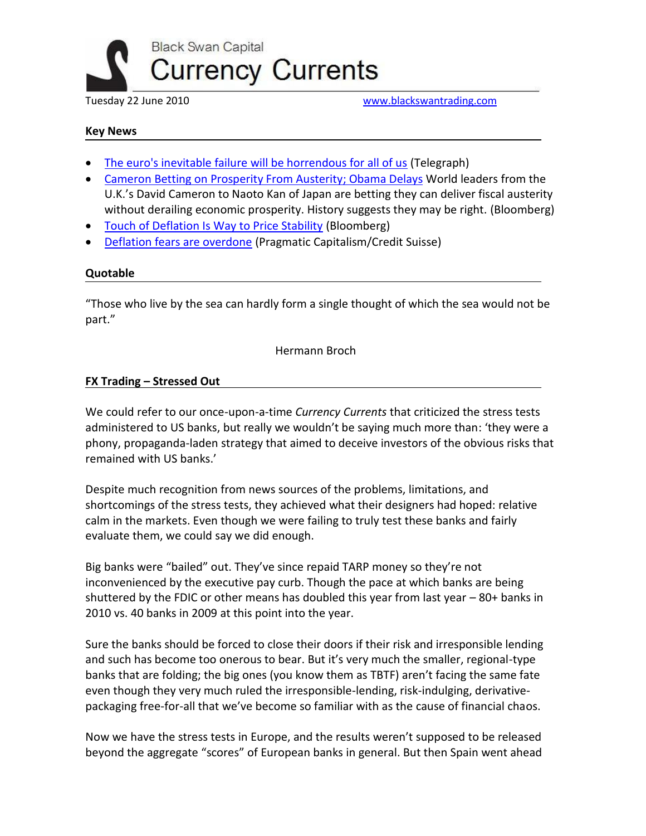

Tuesday 22 June 2010 [www.blackswantrading.com](http://www.blackswantrading.com/)

### **Key News**

- [The euro's inevitable failure will be horrendous for all of us](http://www.telegraph.co.uk/comment/columnists/charlesmoore/7839188/The-euros-inevitable-failure-will-be-horrendous-for-all-of-us.html) (Telegraph)
- [Cameron Betting on Prosperity From Austerity; Obama Delays](http://www.bloomberg.com/news/2010-06-21/cameron-bets-on-prosperity-from-austerity-while-obama-pushes-more-stimulus.html) World leaders from the U.K.'s David Cameron to Naoto Kan of Japan are betting they can deliver fiscal austerity without derailing economic prosperity. History suggests they may be right. (Bloomberg)
- [Touch of Deflation Is Way to Price Stability](http://www.bloomberg.com/news/2010-06-22/a-little-deflation-is-recipe-for-price-stability-caroline-baum.html) (Bloomberg)
- [Deflation fears are overdone](http://pragcap.com/credit-suisse-deflation-fears-are-overdone) (Pragmatic Capitalism/Credit Suisse)

#### **Quotable**

"Those who live by the sea can hardly form a single thought of which the sea would not be part."

Hermann Broch

#### **FX Trading – Stressed Out**

We could refer to our once-upon-a-time *Currency Currents* that criticized the stress tests administered to US banks, but really we wouldn't be saying much more than: 'they were a phony, propaganda-laden strategy that aimed to deceive investors of the obvious risks that remained with US banks.'

Despite much recognition from news sources of the problems, limitations, and shortcomings of the stress tests, they achieved what their designers had hoped: relative calm in the markets. Even though we were failing to truly test these banks and fairly evaluate them, we could say we did enough.

Big banks were "bailed" out. They've since repaid TARP money so they're not inconvenienced by the executive pay curb. Though the pace at which banks are being shuttered by the FDIC or other means has doubled this year from last year – 80+ banks in 2010 vs. 40 banks in 2009 at this point into the year.

Sure the banks should be forced to close their doors if their risk and irresponsible lending and such has become too onerous to bear. But it's very much the smaller, regional-type banks that are folding; the big ones (you know them as TBTF) aren't facing the same fate even though they very much ruled the irresponsible-lending, risk-indulging, derivativepackaging free-for-all that we've become so familiar with as the cause of financial chaos.

Now we have the stress tests in Europe, and the results weren't supposed to be released beyond the aggregate "scores" of European banks in general. But then Spain went ahead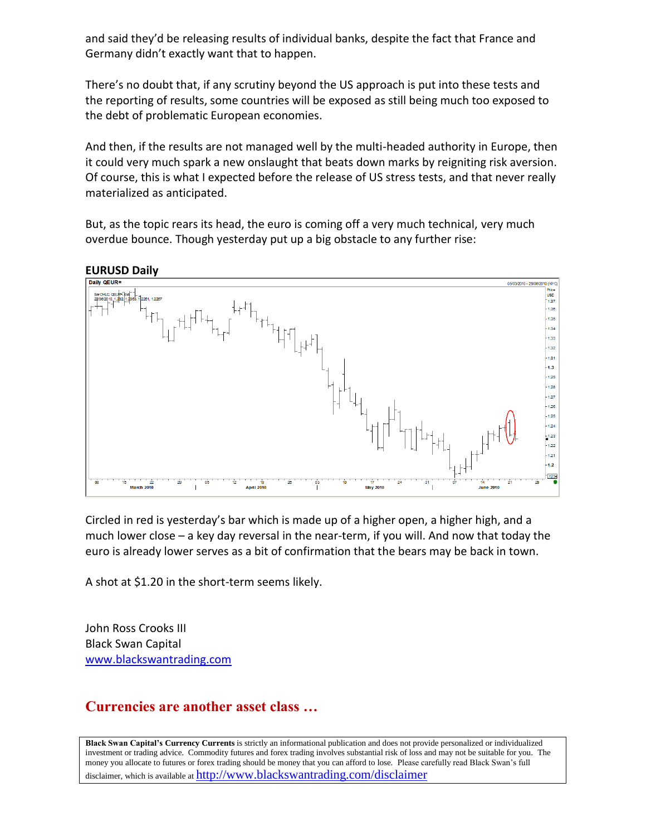and said they'd be releasing results of individual banks, despite the fact that France and Germany didn't exactly want that to happen.

There's no doubt that, if any scrutiny beyond the US approach is put into these tests and the reporting of results, some countries will be exposed as still being much too exposed to the debt of problematic European economies.

And then, if the results are not managed well by the multi-headed authority in Europe, then it could very much spark a new onslaught that beats down marks by reigniting risk aversion. Of course, this is what I expected before the release of US stress tests, and that never really materialized as anticipated.

But, as the topic rears its head, the euro is coming off a very much technical, very much overdue bounce. Though yesterday put up a big obstacle to any further rise:



Circled in red is yesterday's bar which is made up of a higher open, a higher high, and a much lower close – a key day reversal in the near-term, if you will. And now that today the euro is already lower serves as a bit of confirmation that the bears may be back in town.

A shot at \$1.20 in the short-term seems likely.

John Ross Crooks III Black Swan Capital [www.blackswantrading.com](http://www.blackswantrading.com/)

# **Currencies are another asset class …**

**Black Swan Capital's Currency Currents** is strictly an informational publication and does not provide personalized or individualized investment or trading advice. Commodity futures and forex trading involves substantial risk of loss and may not be suitable for you. The money you allocate to futures or forex trading should be money that you can afford to lose. Please carefully read Black Swan's full disclaimer, which is available at http://www.blackswantrading.com/disclaimer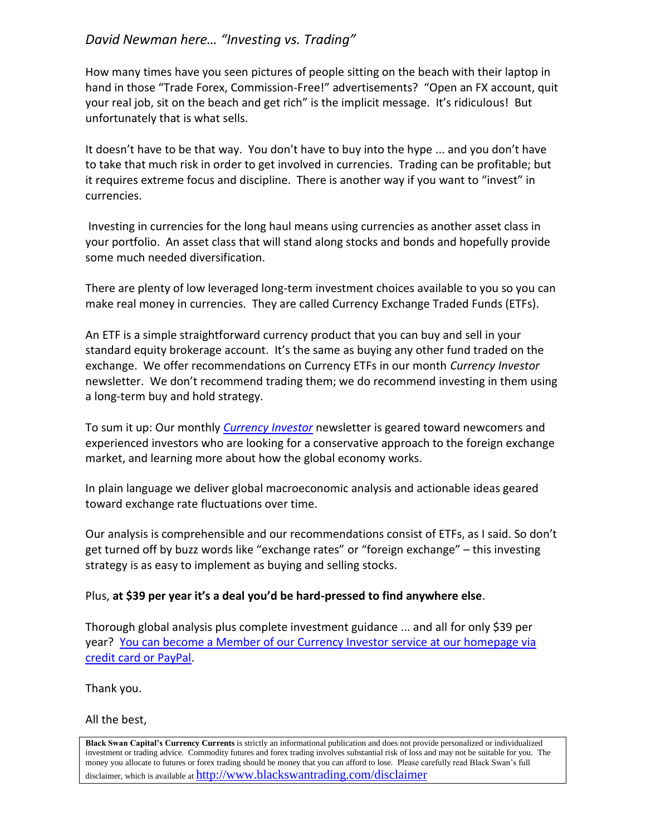# *David Newman here… "Investing vs. Trading"*

How many times have you seen pictures of people sitting on the beach with their laptop in hand in those "Trade Forex, Commission-Free!" advertisements? "Open an FX account, quit your real job, sit on the beach and get rich" is the implicit message. It's ridiculous! But unfortunately that is what sells.

It doesn't have to be that way. You don't have to buy into the hype ... and you don't have to take that much risk in order to get involved in currencies. Trading can be profitable; but it requires extreme focus and discipline. There is another way if you want to "invest" in currencies.

Investing in currencies for the long haul means using currencies as another asset class in your portfolio. An asset class that will stand along stocks and bonds and hopefully provide some much needed diversification.

There are plenty of low leveraged long-term investment choices available to you so you can make real money in currencies. They are called Currency Exchange Traded Funds (ETFs).

An ETF is a simple straightforward currency product that you can buy and sell in your standard equity brokerage account. It's the same as buying any other fund traded on the exchange. We offer recommendations on Currency ETFs in our month *Currency Investor* newsletter. We don't recommend trading them; we do recommend investing in them using a long-term buy and hold strategy.

To sum it up: Our monthly *[Currency Investor](https://www.mcssl.com/SecureCart/Checkout.aspx?mid=47A2A252-2484-4CD2-8F88-F148917E92D3&sctoken=c18f9cfbdb224748a814339445803dc1&bhcp=1)* newsletter is geared toward newcomers and experienced investors who are looking for a conservative approach to the foreign exchange market, and learning more about how the global economy works.

In plain language we deliver global macroeconomic analysis and actionable ideas geared toward exchange rate fluctuations over time.

Our analysis is comprehensible and our recommendations consist of ETFs, as I said. So don't get turned off by buzz words like "exchange rates" or "foreign exchange" – this investing strategy is as easy to implement as buying and selling stocks.

### Plus, **at \$39 per year it's a deal you'd be hard-pressed to find anywhere else**.

Thorough global analysis plus complete investment guidance ... and all for only \$39 per year? [You can become a Member of our Currency Investor service at our homepage via](http://www.blackswantrading.com/)  [credit card or PayPal.](http://www.blackswantrading.com/)

Thank you.

All the best,

**Black Swan Capital's Currency Currents** is strictly an informational publication and does not provide personalized or individualized investment or trading advice. Commodity futures and forex trading involves substantial risk of loss and may not be suitable for you. The money you allocate to futures or forex trading should be money that you can afford to lose. Please carefully read Black Swan's full disclaimer, which is available at http://www.blackswantrading.com/disclaimer